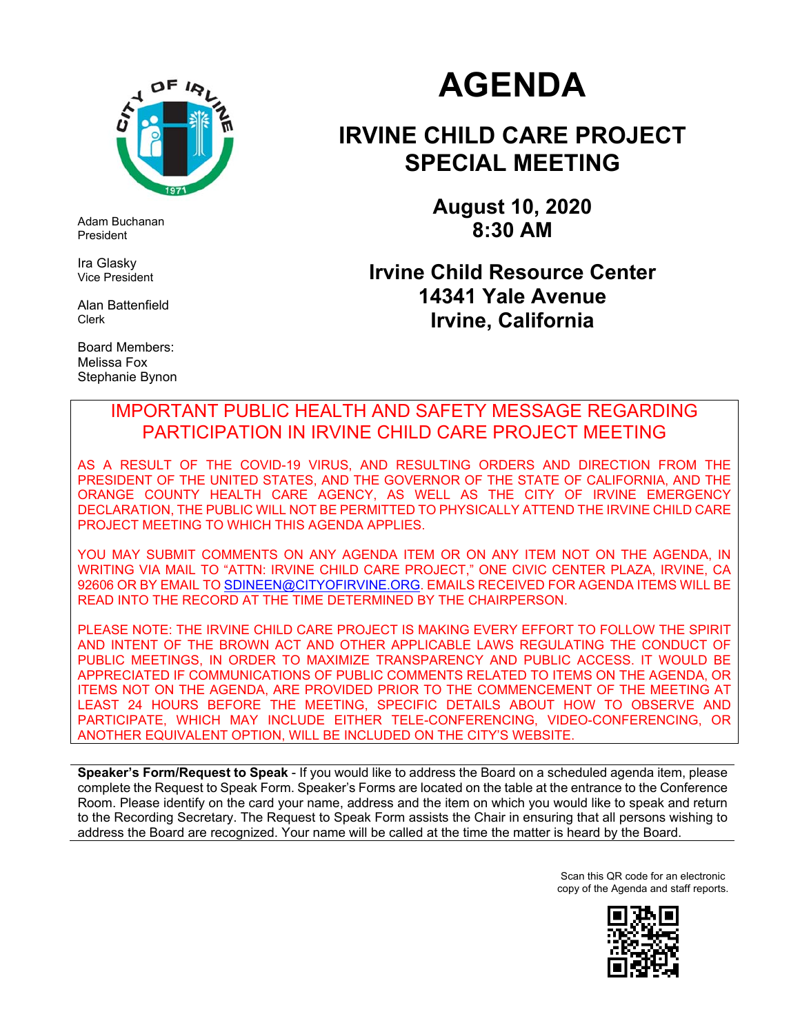

Adam Buchanan President

Ira Glasky Vice President

Alan Battenfield Clerk

Board Members: Melissa Fox Stephanie Bynon

# **AGENDA**

# **IRVINE CHILD CARE PROJECT SPECIAL MEETING**

**August 10, 2020 8:30 AM** 

# **Irvine Child Resource Center 14341 Yale Avenue Irvine, California**

# IMPORTANT PUBLIC HEALTH AND SAFETY MESSAGE REGARDING PARTICIPATION IN IRVINE CHILD CARE PROJECT MEETING

AS A RESULT OF THE COVID-19 VIRUS, AND RESULTING ORDERS AND DIRECTION FROM THE PRESIDENT OF THE UNITED STATES, AND THE GOVERNOR OF THE STATE OF CALIFORNIA, AND THE ORANGE COUNTY HEALTH CARE AGENCY, AS WELL AS THE CITY OF IRVINE EMERGENCY DECLARATION, THE PUBLIC WILL NOT BE PERMITTED TO PHYSICALLY ATTEND THE IRVINE CHILD CARE PROJECT MEETING TO WHICH THIS AGENDA APPLIES.

YOU MAY SUBMIT COMMENTS ON ANY AGENDA ITEM OR ON ANY ITEM NOT ON THE AGENDA, IN WRITING VIA MAIL TO "ATTN: IRVINE CHILD CARE PROJECT," ONE CIVIC CENTER PLAZA, IRVINE, CA 92606 OR BY EMAIL TO <u>SDINEEN@CITYOFIRVINE.ORG</u>. EMAILS RECEIVED FOR AGENDA ITEMS WILL BE READ INTO THE RECORD AT THE TIME DETERMINED BY THE CHAIRPERSON.

PLEASE NOTE: THE IRVINE CHILD CARE PROJECT IS MAKING EVERY EFFORT TO FOLLOW THE SPIRIT AND INTENT OF THE BROWN ACT AND OTHER APPLICABLE LAWS REGULATING THE CONDUCT OF PUBLIC MEETINGS, IN ORDER TO MAXIMIZE TRANSPARENCY AND PUBLIC ACCESS. IT WOULD BE APPRECIATED IF COMMUNICATIONS OF PUBLIC COMMENTS RELATED TO ITEMS ON THE AGENDA, OR ITEMS NOT ON THE AGENDA, ARE PROVIDED PRIOR TO THE COMMENCEMENT OF THE MEETING AT LEAST 24 HOURS BEFORE THE MEETING, SPECIFIC DETAILS ABOUT HOW TO OBSERVE AND PARTICIPATE, WHICH MAY INCLUDE EITHER TELE-CONFERENCING, VIDEO-CONFERENCING, OR ANOTHER EQUIVALENT OPTION, WILL BE INCLUDED ON THE CITY'S WEBSITE.

**Speaker's Form/Request to Speak** - If you would like to address the Board on a scheduled agenda item, please complete the Request to Speak Form. Speaker's Forms are located on the table at the entrance to the Conference Room. Please identify on the card your name, address and the item on which you would like to speak and return to the Recording Secretary. The Request to Speak Form assists the Chair in ensuring that all persons wishing to address the Board are recognized. Your name will be called at the time the matter is heard by the Board.

> Scan this QR code for an electronic copy of the Agenda and staff reports.

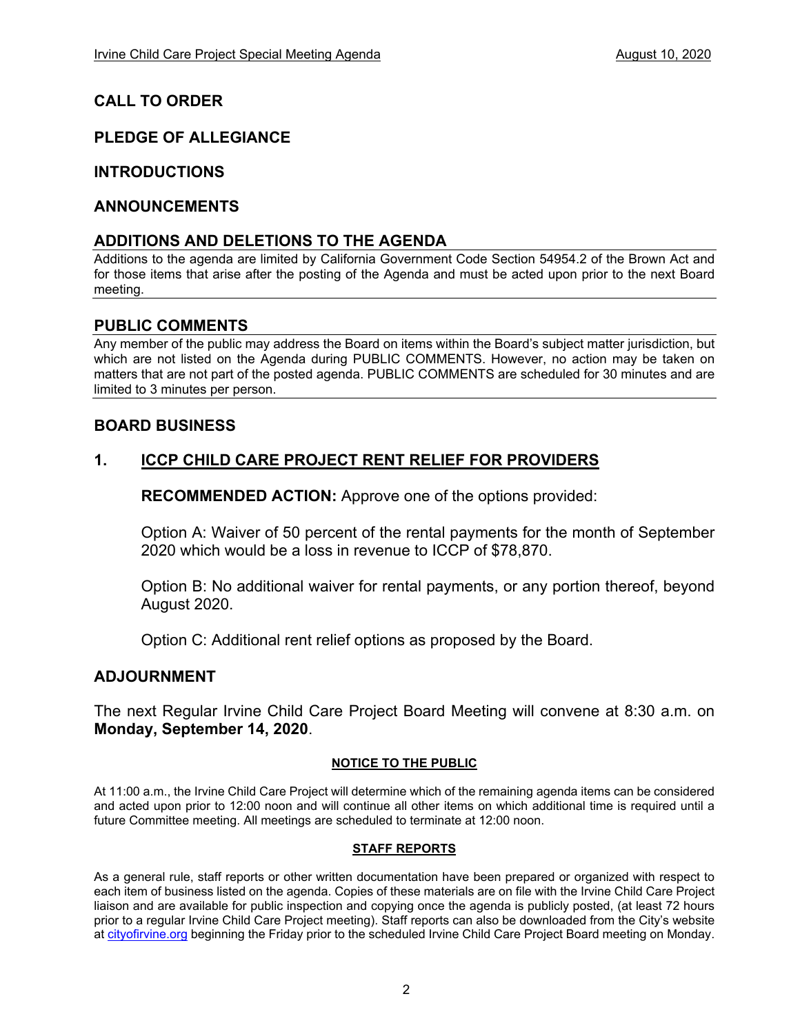# **CALL TO ORDER**

# **PLEDGE OF ALLEGIANCE**

## **INTRODUCTIONS**

#### **ANNOUNCEMENTS**

#### **ADDITIONS AND DELETIONS TO THE AGENDA**

Additions to the agenda are limited by California Government Code Section 54954.2 of the Brown Act and for those items that arise after the posting of the Agenda and must be acted upon prior to the next Board meeting.

#### **PUBLIC COMMENTS**

Any member of the public may address the Board on items within the Board's subject matter jurisdiction, but which are not listed on the Agenda during PUBLIC COMMENTS. However, no action may be taken on matters that are not part of the posted agenda. PUBLIC COMMENTS are scheduled for 30 minutes and are limited to 3 minutes per person.

# **BOARD BUSINESS**

## **1. ICCP CHILD CARE PROJECT RENT RELIEF FOR PROVIDERS**

**RECOMMENDED ACTION:** Approve one of the options provided:

Option A: Waiver of 50 percent of the rental payments for the month of September 2020 which would be a loss in revenue to ICCP of \$78,870.

Option B: No additional waiver for rental payments, or any portion thereof, beyond August 2020.

Option C: Additional rent relief options as proposed by the Board.

#### **ADJOURNMENT**

The next Regular Irvine Child Care Project Board Meeting will convene at 8:30 a.m. on **Monday, September 14, 2020**.

#### **NOTICE TO THE PUBLIC**

At 11:00 a.m., the Irvine Child Care Project will determine which of the remaining agenda items can be considered and acted upon prior to 12:00 noon and will continue all other items on which additional time is required until a future Committee meeting. All meetings are scheduled to terminate at 12:00 noon.

#### **STAFF REPORTS**

As a general rule, staff reports or other written documentation have been prepared or organized with respect to each item of business listed on the agenda. Copies of these materials are on file with the Irvine Child Care Project liaison and are available for public inspection and copying once the agenda is publicly posted, (at least 72 hours prior to a regular Irvine Child Care Project meeting). Staff reports can also be downloaded from the City's website at cityofirvine.org beginning the Friday prior to the scheduled Irvine Child Care Project Board meeting on Monday.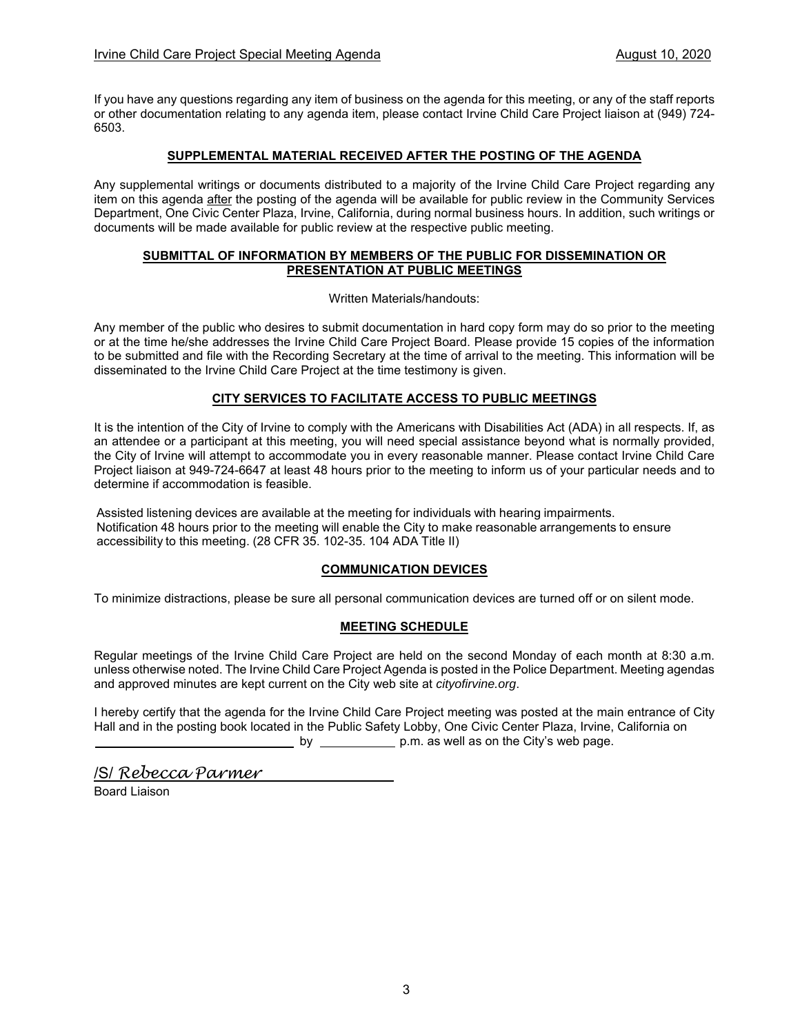If you have any questions regarding any item of business on the agenda for this meeting, or any of the staff reports or other documentation relating to any agenda item, please contact Irvine Child Care Project liaison at (949) 724- 6503.

#### **SUPPLEMENTAL MATERIAL RECEIVED AFTER THE POSTING OF THE AGENDA**

Any supplemental writings or documents distributed to a majority of the Irvine Child Care Project regarding any item on this agenda after the posting of the agenda will be available for public review in the Community Services Department, One Civic Center Plaza, Irvine, California, during normal business hours. In addition, such writings or documents will be made available for public review at the respective public meeting.

#### **SUBMITTAL OF INFORMATION BY MEMBERS OF THE PUBLIC FOR DISSEMINATION OR PRESENTATION AT PUBLIC MEETINGS**

Written Materials/handouts:

Any member of the public who desires to submit documentation in hard copy form may do so prior to the meeting or at the time he/she addresses the Irvine Child Care Project Board. Please provide 15 copies of the information to be submitted and file with the Recording Secretary at the time of arrival to the meeting. This information will be disseminated to the Irvine Child Care Project at the time testimony is given.

#### **CITY SERVICES TO FACILITATE ACCESS TO PUBLIC MEETINGS**

It is the intention of the City of Irvine to comply with the Americans with Disabilities Act (ADA) in all respects. If, as an attendee or a participant at this meeting, you will need special assistance beyond what is normally provided, the City of Irvine will attempt to accommodate you in every reasonable manner. Please contact Irvine Child Care Project liaison at 949-724-6647 at least 48 hours prior to the meeting to inform us of your particular needs and to determine if accommodation is feasible.

Assisted listening devices are available at the meeting for individuals with hearing impairments. Notification 48 hours prior to the meeting will enable the City to make reasonable arrangements to ensure accessibility to this meeting. (28 CFR 35. 102-35. 104 ADA Title II)

#### **COMMUNICATION DEVICES**

To minimize distractions, please be sure all personal communication devices are turned off or on silent mode.

#### **MEETING SCHEDULE**

Regular meetings of the Irvine Child Care Project are held on the second Monday of each month at 8:30 a.m. unless otherwise noted. The Irvine Child Care Project Agenda is posted in the Police Department. Meeting agendas and approved minutes are kept current on the City web site at *cityofirvine.org*.

I hereby certify that the agenda for the Irvine Child Care Project meeting was posted at the main entrance of City Hall and in the posting book located in the Public Safety Lobby, One Civic Center Plaza, Irvine, California on<br>
July 30, 2020 **by** 5:30 **by** 5:30 **by** 5:30 **by** as well as on the City's web page. Uuly 30, 2020  $\frac{1}{2}$  by  $\frac{5:30}{2}$  p.m. as well as on the City's web page.

/S/ *Rebecca Parmer*

Board Liaison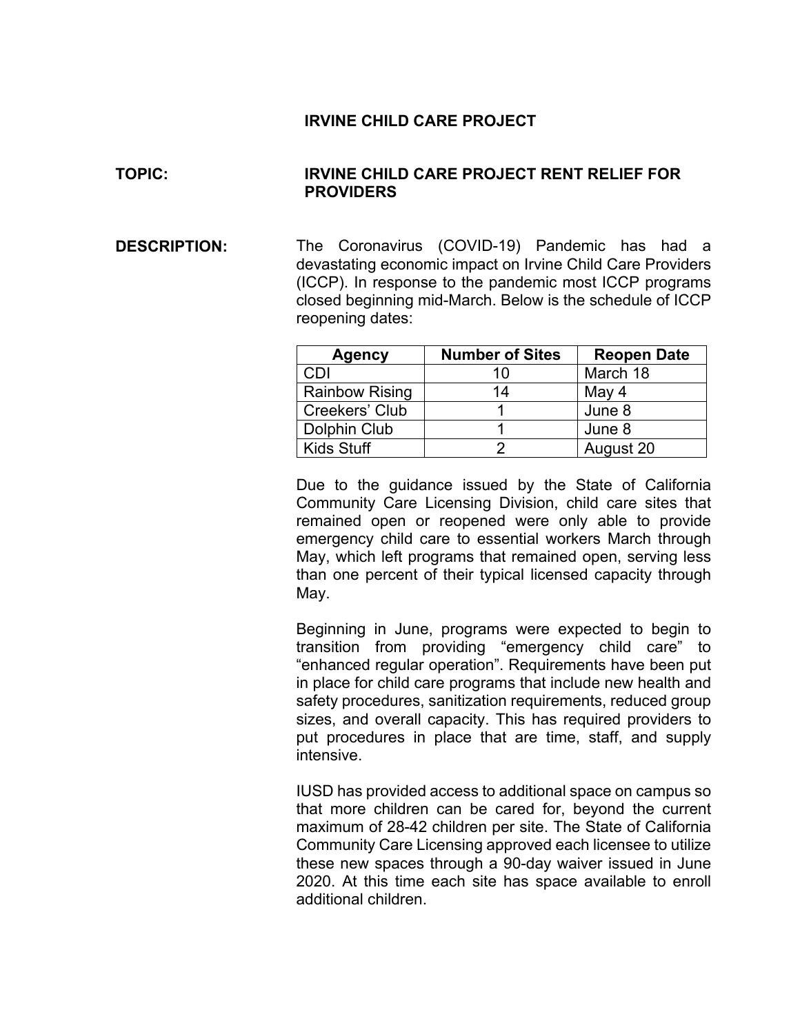## **IRVINE CHILD CARE PROJECT**

## **TOPIC: IRVINE CHILD CARE PROJECT RENT RELIEF FOR PROVIDERS**

**DESCRIPTION:** The Coronavirus (COVID-19) Pandemic has had a devastating economic impact on Irvine Child Care Providers (ICCP). In response to the pandemic most ICCP programs closed beginning mid-March. Below is the schedule of ICCP reopening dates:

| <b>Agency</b>         | <b>Number of Sites</b> | <b>Reopen Date</b> |
|-----------------------|------------------------|--------------------|
| CDI                   |                        | March 18           |
| <b>Rainbow Rising</b> | 14                     | May 4              |
| Creekers' Club        |                        | June 8             |
| Dolphin Club          |                        | June 8             |
| Kids Stuff            |                        | August 20          |

Due to the guidance issued by the State of California Community Care Licensing Division, child care sites that remained open or reopened were only able to provide emergency child care to essential workers March through May, which left programs that remained open, serving less than one percent of their typical licensed capacity through May.

Beginning in June, programs were expected to begin to transition from providing "emergency child care" to "enhanced regular operation". Requirements have been put in place for child care programs that include new health and safety procedures, sanitization requirements, reduced group sizes, and overall capacity. This has required providers to put procedures in place that are time, staff, and supply intensive.

IUSD has provided access to additional space on campus so that more children can be cared for, beyond the current maximum of 28-42 children per site. The State of California Community Care Licensing approved each licensee to utilize these new spaces through a 90-day waiver issued in June 2020. At this time each site has space available to enroll additional children.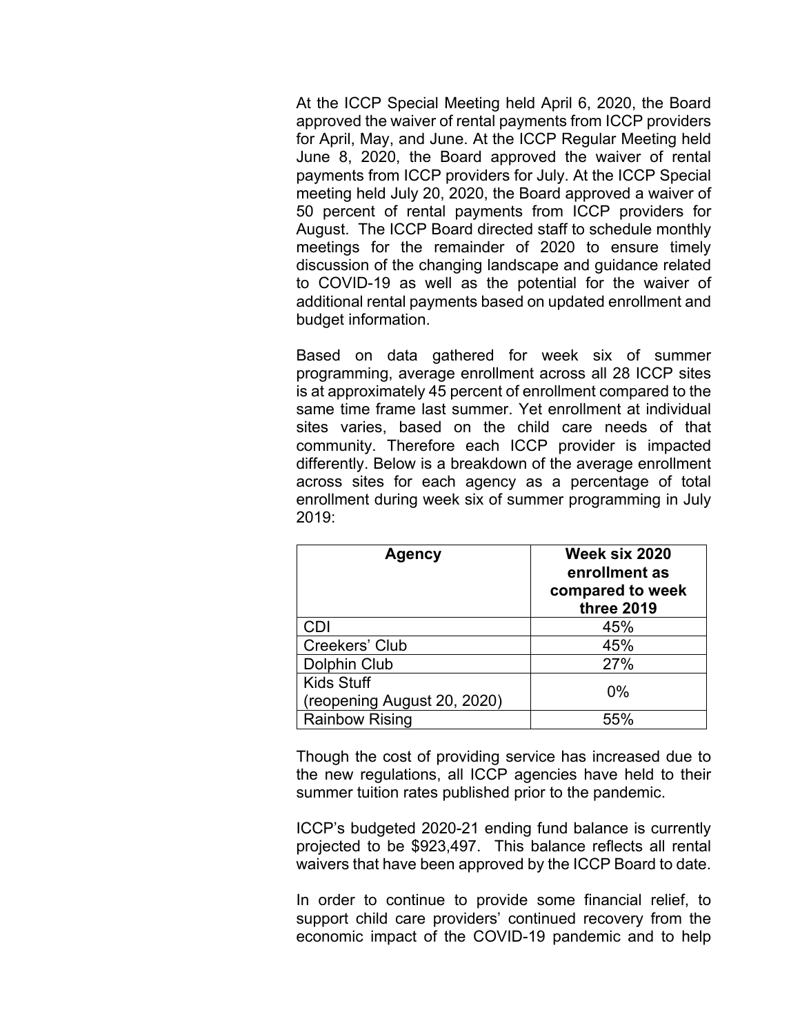At the ICCP Special Meeting held April 6, 2020, the Board approved the waiver of rental payments from ICCP providers for April, May, and June. At the ICCP Regular Meeting held June 8, 2020, the Board approved the waiver of rental payments from ICCP providers for July. At the ICCP Special meeting held July 20, 2020, the Board approved a waiver of 50 percent of rental payments from ICCP providers for August. The ICCP Board directed staff to schedule monthly meetings for the remainder of 2020 to ensure timely discussion of the changing landscape and guidance related to COVID-19 as well as the potential for the waiver of additional rental payments based on updated enrollment and budget information.

Based on data gathered for week six of summer programming, average enrollment across all 28 ICCP sites is at approximately 45 percent of enrollment compared to the same time frame last summer. Yet enrollment at individual sites varies, based on the child care needs of that community. Therefore each ICCP provider is impacted differently. Below is a breakdown of the average enrollment across sites for each agency as a percentage of total enrollment during week six of summer programming in July 2019:

| Agency                      | Week six 2020<br>enrollment as<br>compared to week<br>three 2019 |
|-----------------------------|------------------------------------------------------------------|
| CDI                         | 45%                                                              |
| Creekers' Club              | 45%                                                              |
| Dolphin Club                | 27%                                                              |
| <b>Kids Stuff</b>           | $0\%$                                                            |
| (reopening August 20, 2020) |                                                                  |
| <b>Rainbow Rising</b>       | 55%                                                              |

Though the cost of providing service has increased due to the new regulations, all ICCP agencies have held to their summer tuition rates published prior to the pandemic.

ICCP's budgeted 2020-21 ending fund balance is currently projected to be \$923,497. This balance reflects all rental waivers that have been approved by the ICCP Board to date.

In order to continue to provide some financial relief, to support child care providers' continued recovery from the economic impact of the COVID-19 pandemic and to help